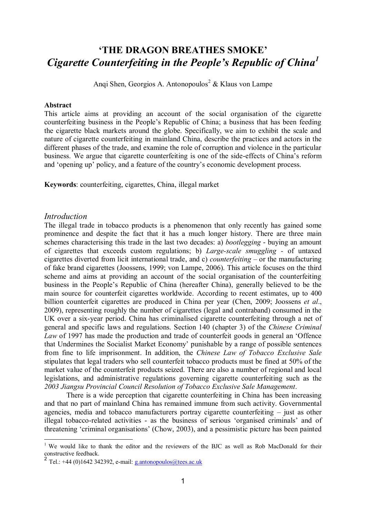# **'THE DRAGON BREATHES SMOKE'** *Cigarette Counterfeiting in the People's Republic of China<sup>1</sup>*

Anqi Shen, Georgios A. Antonopoulos<sup>2</sup> & Klaus von Lampe

#### **Abstract**

This article aims at providing an account of the social organisation of the cigarette counterfeiting business in the People"s Republic of China; a business that has been feeding the cigarette black markets around the globe. Specifically, we aim to exhibit the scale and nature of cigarette counterfeiting in mainland China, describe the practices and actors in the different phases of the trade, and examine the role of corruption and violence in the particular business. We argue that cigarette counterfeiting is one of the side-effects of China"s reform and 'opening up' policy, and a feature of the country's economic development process.

**Keywords**: counterfeiting, cigarettes, China, illegal market

#### *Introduction*

The illegal trade in tobacco products is a phenomenon that only recently has gained some prominence and despite the fact that it has a much longer history. There are three main schemes characterising this trade in the last two decades: a) *bootlegging* - buying an amount of cigarettes that exceeds custom regulations; b) *Large-scale smuggling -* of untaxed cigarettes diverted from licit international trade, and c) *counterfeiting –* or the manufacturing of fake brand cigarettes (Joossens, 1999; von Lampe, 2006). This article focuses on the third scheme and aims at providing an account of the social organisation of the counterfeiting business in the People"s Republic of China (hereafter China), generally believed to be the main source for counterfeit cigarettes worldwide. According to recent estimates, up to 400 billion counterfeit cigarettes are produced in China per year (Chen, 2009; Joossens *et al*., 2009), representing roughly the number of cigarettes (legal and contraband) consumed in the UK over a six-year period. China has criminalised cigarette counterfeiting through a net of general and specific laws and regulations. Section 140 (chapter 3) of the *Chinese Criminal Law* of 1997 has made the production and trade of counterfeit goods in general an "Offence that Undermines the Socialist Market Economy" punishable by a range of possible sentences from fine to life imprisonment. In addition, the *Chinese Law of Tobacco Exclusive Sale* stipulates that legal traders who sell counterfeit tobacco products must be fined at 50% of the market value of the counterfeit products seized. There are also a number of regional and local legislations, and administrative regulations governing cigarette counterfeiting such as the *2003 Jiangsu Provincial Council Resolution of Tobacco Exclusive Sale Management*.

There is a wide perception that cigarette counterfeiting in China has been increasing and that no part of mainland China has remained immune from such activity. Governmental agencies, media and tobacco manufacturers portray cigarette counterfeiting – just as other illegal tobacco-related activities - as the business of serious "organised criminals" and of threatening "criminal organisations" (Chow, 2003), and a pessimistic picture has been painted

<sup>&</sup>lt;sup>1</sup> We would like to thank the editor and the reviewers of the BJC as well as Rob MacDonald for their constructive feedback.<br><sup>2</sup> Tel.: +44 (0)1642 342392, e-mail: <u>g.antonopoulos@tees.ac.uk</u>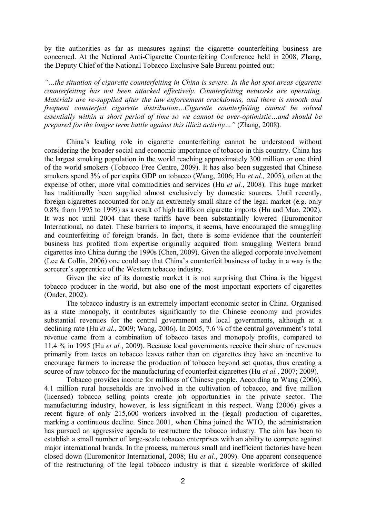by the authorities as far as measures against the cigarette counterfeiting business are concerned. At the National Anti-Cigarette Counterfeiting Conference held in 2008, Zhang, the Deputy Chief of the National Tobacco Exclusive Sale Bureau pointed out:

*"…the situation of cigarette counterfeiting in China is severe. In the hot spot areas cigarette counterfeiting has not been attacked effectively. Counterfeiting networks are operating. Materials are re-supplied after the law enforcement crackdowns, and there is smooth and frequent counterfeit cigarette distribution…Cigarette counterfeiting cannot be solved essentially within a short period of time so we cannot be over-optimistic…and should be prepared for the longer term battle against this illicit activity…"* (Zhang, 2008)*.* 

China"s leading role in cigarette counterfeiting cannot be understood without considering the broader social and economic importance of tobacco in this country. China has the largest smoking population in the world reaching approximately 300 million or one third of the world smokers (Tobacco Free Centre, 2009). It has also been suggested that Chinese smokers spend 3% of per capita GDP on tobacco (Wang, 2006; Hu *et al.,* 2005), often at the expense of other, more vital commodities and services (Hu *et al.*, 2008). This huge market has traditionally been supplied almost exclusively by domestic sources. Until recently, foreign cigarettes accounted for only an extremely small share of the legal market (e.g. only 0.8% from 1995 to 1999) as a result of high tariffs on cigarette imports (Hu and Mao, 2002). It was not until 2004 that these tariffs have been substantially lowered (Euromonitor International, no date). These barriers to imports, it seems, have encouraged the smuggling and counterfeiting of foreign brands. In fact, there is some evidence that the counterfeit business has profited from expertise originally acquired from smuggling Western brand cigarettes into China during the 1990s (Chen, 2009). Given the alleged corporate involvement (Lee & Collin, 2006) one could say that China"s counterfeit business of today in a way is the sorcerer's apprentice of the Western tobacco industry.

Given the size of its domestic market it is not surprising that China is the biggest tobacco producer in the world, but also one of the most important exporters of cigarettes (Onder, 2002).

The tobacco industry is an extremely important economic sector in China. Organised as a state monopoly, it contributes significantly to the Chinese economy and provides substantial revenues for the central government and local governments, although at a declining rate (Hu *et al.*, 2009; Wang, 2006). In 2005, 7.6 % of the central government's total revenue came from a combination of tobacco taxes and monopoly profits, compared to 11.4 % in 1995 (Hu *et al.*, 2009). Because local governments receive their share of revenues primarily from taxes on tobacco leaves rather than on cigarettes they have an incentive to encourage farmers to increase the production of tobacco beyond set quotas, thus creating a source of raw tobacco for the manufacturing of counterfeit cigarettes (Hu *et al.*, 2007; 2009).

Tobacco provides income for millions of Chinese people. According to Wang (2006), 4.1 million rural households are involved in the cultivation of tobacco, and five million (licensed) tobacco selling points create job opportunities in the private sector. The manufacturing industry, however, is less significant in this respect. Wang (2006) gives a recent figure of only 215,600 workers involved in the (legal) production of cigarettes, marking a continuous decline. Since 2001, when China joined the WTO, the administration has pursued an aggressive agenda to restructure the tobacco industry. The aim has been to establish a small number of large-scale tobacco enterprises with an ability to compete against major international brands. In the process, numerous small and inefficient factories have been closed down (Euromonitor International, 2008; Hu *et al.*, 2009). One apparent consequence of the restructuring of the legal tobacco industry is that a sizeable workforce of skilled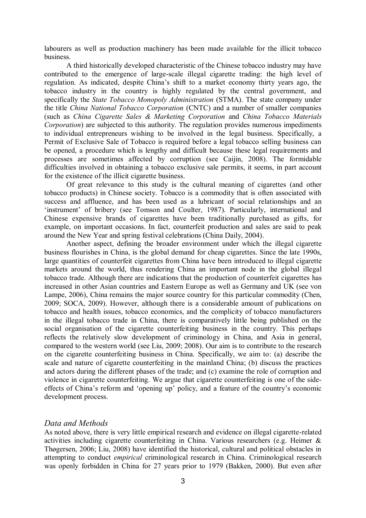labourers as well as production machinery has been made available for the illicit tobacco business.

A third historically developed characteristic of the Chinese tobacco industry may have contributed to the emergence of large-scale illegal cigarette trading: the high level of regulation. As indicated, despite China"s shift to a market economy thirty years ago, the tobacco industry in the country is highly regulated by the central government, and specifically the *State Tobacco Monopoly Administration* (STMA). The state company under the title *China National Tobacco Corporation* (CNTC) and a number of smaller companies (such as *China Cigarette Sales & Marketing Corporation* and *China Tobacco Materials Corporation*) are subjected to this authority. The regulation provides numerous impediments to individual entrepreneurs wishing to be involved in the legal business. Specifically, a Permit of Exclusive Sale of Tobacco is required before a legal tobacco selling business can be opened, a procedure which is lengthy and difficult because these legal requirements and processes are sometimes affected by corruption (see Caijin, 2008). The formidable difficulties involved in obtaining a tobacco exclusive sale permits, it seems, in part account for the existence of the illicit cigarette business.

Of great relevance to this study is the cultural meaning of cigarettes (and other tobacco products) in Chinese society. Tobacco is a commodity that is often associated with success and affluence, and has been used as a lubricant of social relationships and an 'instrument' of bribery (see Tomson and Coulter, 1987). Particularly, international and Chinese expensive brands of cigarettes have been traditionally purchased as gifts, for example, on important occasions. In fact, counterfeit production and sales are said to peak around the New Year and spring festival celebrations (China Daily, 2004).

Another aspect, defining the broader environment under which the illegal cigarette business flourishes in China, is the global demand for cheap cigarettes. Since the late 1990s, large quantities of counterfeit cigarettes from China have been introduced to illegal cigarette markets around the world, thus rendering China an important node in the global illegal tobacco trade. Although there are indications that the production of counterfeit cigarettes has increased in other Asian countries and Eastern Europe as well as Germany and UK (see von Lampe, 2006), China remains the major source country for this particular commodity (Chen, 2009; SOCA, 2009). However, although there is a considerable amount of publications on tobacco and health issues, tobacco economics, and the complicity of tobacco manufacturers in the illegal tobacco trade in China, there is comparatively little being published on the social organisation of the cigarette counterfeiting business in the country. This perhaps reflects the relatively slow development of criminology in China, and Asia in general, compared to the western world (see Liu, 2009; 2008). Our aim is to contribute to the research on the cigarette counterfeiting business in China. Specifically, we aim to: (a) describe the scale and nature of cigarette counterfeiting in the mainland China; (b) discuss the practices and actors during the different phases of the trade; and (c) examine the role of corruption and violence in cigarette counterfeiting. We argue that cigarette counterfeiting is one of the sideeffects of China"s reform and "opening up" policy, and a feature of the country"s economic development process.

#### *Data and Methods*

As noted above, there is very little empirical research and evidence on illegal cigarette-related activities including cigarette counterfeiting in China. Various researchers (e.g. Heimer & Thøgersen, 2006; Liu, 2008) have identified the historical, cultural and political obstacles in attempting to conduct *empirical* criminological research in China. Criminological research was openly forbidden in China for 27 years prior to 1979 (Bakken, 2000). But even after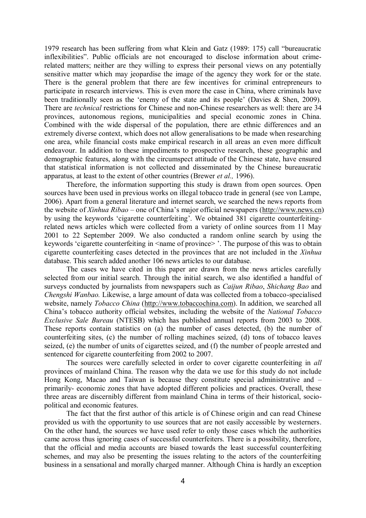1979 research has been suffering from what Klein and Gatz (1989: 175) call "bureaucratic inflexibilities". Public officials are not encouraged to disclose information about crimerelated matters; neither are they willing to express their personal views on any potentially sensitive matter which may jeopardise the image of the agency they work for or the state. There is the general problem that there are few incentives for criminal entrepreneurs to participate in research interviews. This is even more the case in China, where criminals have been traditionally seen as the 'enemy of the state and its people' (Davies & Shen, 2009). There are *technical* restrictions for Chinese and non-Chinese researchers as well: there are 34 provinces, autonomous regions, municipalities and special economic zones in China. Combined with the wide dispersal of the population, there are ethnic differences and an extremely diverse context, which does not allow generalisations to be made when researching one area, while financial costs make empirical research in all areas an even more difficult endeavour. In addition to these impediments to prospective research, these geographic and demographic features, along with the circumspect attitude of the Chinese state, have ensured that statistical information is not collected and disseminated by the Chinese bureaucratic apparatus, at least to the extent of other countries (Brewer *et al.,* 1996).

Therefore, the information supporting this study is drawn from open sources. Open sources have been used in previous works on illegal tobacco trade in general (see von Lampe, 2006). Apart from a general literature and internet search, we searched the news reports from the website of *Xinhua Ribao* – one of China"s major official newspapers ([http://www.news.cn\)](http://www.news.cn/) by using the keywords "cigarette counterfeiting". We obtained 381 cigarette counterfeitingrelated news articles which were collected from a variety of online sources from 11 May 2001 to 22 September 2009. We also conducted a random online search by using the keywords 'cigarette counterfeiting in  $\leq$  name of province  $\geq$  ". The purpose of this was to obtain cigarette counterfeiting cases detected in the provinces that are not included in the *Xinhua*  database. This search added another 106 news articles to our database.

The cases we have cited in this paper are drawn from the news articles carefully selected from our initial search. Through the initial search, we also identified a handful of surveys conducted by journalists from newspapers such as *Caijun Ribao*, *Shichang Bao* and *Chengshi Wanbao.* Likewise, a large amount of data was collected from a tobacco-specialised website, namely *Tobacco China* [\(http://www.tobaccochina.com\)](http://www.tobaccochina.com/). In addition, we searched all China"s tobacco authority official websites, including the website of the *National Tobacco Exclusive Sale Bureau* (NTESB) which has published annual reports from 2003 to 2008. These reports contain statistics on (a) the number of cases detected, (b) the number of counterfeiting sites, (c) the number of rolling machines seized, (d) tons of tobacco leaves seized, (e) the number of units of cigarettes seized, and (f) the number of people arrested and sentenced for cigarette counterfeiting from 2002 to 2007.

The sources were carefully selected in order to cover cigarette counterfeiting in *all* provinces of mainland China. The reason why the data we use for this study do not include Hong Kong, Macao and Taiwan is because they constitute special administrative and – primarily- economic zones that have adopted different policies and practices. Overall, these three areas are discernibly different from mainland China in terms of their historical, sociopolitical and economic features.

The fact that the first author of this article is of Chinese origin and can read Chinese provided us with the opportunity to use sources that are not easily accessible by westerners. On the other hand, the sources we have used refer to only those cases which the authorities came across thus ignoring cases of successful counterfeiters. There is a possibility, therefore, that the official and media accounts are biased towards the least successful counterfeiting schemes, and may also be presenting the issues relating to the actors of the counterfeiting business in a sensational and morally charged manner. Although China is hardly an exception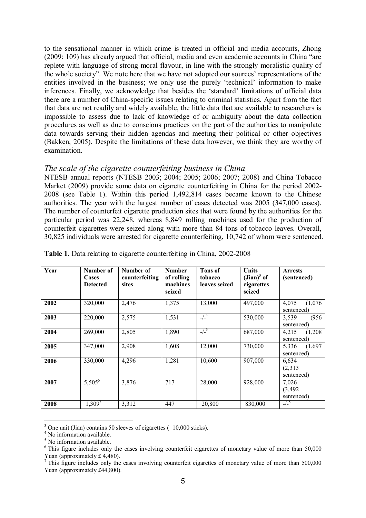to the sensational manner in which crime is treated in official and media accounts, Zhong (2009: 109) has already argued that official, media and even academic accounts in China "are replete with language of strong moral flavour, in line with the strongly moralistic quality of the whole society". We note here that we have not adopted our sources' representations of the entities involved in the business; we only use the purely "technical" information to make inferences. Finally, we acknowledge that besides the "standard" limitations of official data there are a number of China-specific issues relating to criminal statistics. Apart from the fact that data are not readily and widely available, the little data that are available to researchers is impossible to assess due to lack of knowledge of or ambiguity about the data collection procedures as well as due to conscious practices on the part of the authorities to manipulate data towards serving their hidden agendas and meeting their political or other objectives (Bakken, 2005). Despite the limitations of these data however, we think they are worthy of examination.

# *The scale of the cigarette counterfeiting business in China*

NTESB annual reports (NTESB 2003; 2004; 2005; 2006; 2007; 2008) and China Tobacco Market (2009) provide some data on cigarette counterfeiting in China for the period 2002- 2008 (see Table 1). Within this period 1,492,814 cases became known to the Chinese authorities. The year with the largest number of cases detected was 2005 (347,000 cases). The number of counterfeit cigarette production sites that were found by the authorities for the particular period was 22,248, whereas 8,849 rolling machines used for the production of counterfeit cigarettes were seized along with more than 84 tons of tobacco leaves. Overall, 30,825 individuals were arrested for cigarette counterfeiting, 10,742 of whom were sentenced.

| Year | Number of<br>Cases<br><b>Detected</b> | Number of<br>counterfeiting<br>sites | <b>Number</b><br>of rolling<br>machines<br>seized | <b>Tons of</b><br>tobacco<br>leaves seized | <b>Units</b><br>$(Jian)^3$ of<br>cigarettes<br>seized | <b>Arrests</b><br>(sentenced)   |
|------|---------------------------------------|--------------------------------------|---------------------------------------------------|--------------------------------------------|-------------------------------------------------------|---------------------------------|
| 2002 | 320,000                               | 2,476                                | 1,375                                             | 13,000                                     | 497,000                                               | (1,076)<br>4,075<br>sentenced)  |
| 2003 | 220,000                               | 2,575                                | 1,531                                             | $-/-4$                                     | 530,000                                               | (956)<br>3,539<br>sentenced)    |
| 2004 | 269,000                               | 2,805                                | 1,890                                             | $-/-^5$                                    | 687,000                                               | (1,208)<br>4,215<br>sentenced)  |
| 2005 | 347,000                               | 2,908                                | 1,608                                             | 12,000                                     | 730,000                                               | (1,697)<br>5,336<br>sentenced)  |
| 2006 | 330,000                               | 4,296                                | 1,281                                             | 10,600                                     | 907,000                                               | 6,634<br>(2,313)<br>sentenced)  |
| 2007 | $5,505^{6}$                           | 3,876                                | 717                                               | 28,000                                     | 928,000                                               | 7,026<br>(3, 492)<br>sentenced) |
| 2008 | 1,309'                                | 3,312                                | 447                                               | 20,800                                     | 830,000                                               | $-/-^8$                         |

**Table 1.** Data relating to cigarette counterfeiting in China, 2002-2008

1

<sup>3</sup> One unit (Jian) contains 50 sleeves of cigarettes (=10,000 sticks).

<sup>&</sup>lt;sup>4</sup> No information available.

<sup>&</sup>lt;sup>5</sup> No information available.

<sup>&</sup>lt;sup>6</sup> This figure includes only the cases involving counterfeit cigarettes of monetary value of more than 50,000 Yuan (approximately £ 4,480).

<sup>&</sup>lt;sup>7</sup> This figure includes only the cases involving counterfeit cigarettes of monetary value of more than 500,000 Yuan (approximately £44,800).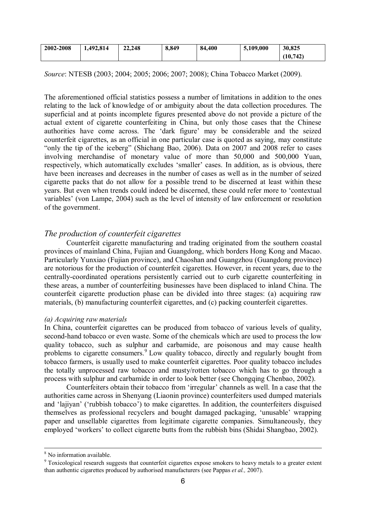| 2002-2008 | 1.492.814 | 22,248 | 8,849 | 84,400 | 5,109,000 | 30.825   |
|-----------|-----------|--------|-------|--------|-----------|----------|
|           |           |        |       |        |           | (10,742) |

*Source*: NTESB (2003; 2004; 2005; 2006; 2007; 2008); China Tobacco Market (2009).

The aforementioned official statistics possess a number of limitations in addition to the ones relating to the lack of knowledge of or ambiguity about the data collection procedures. The superficial and at points incomplete figures presented above do not provide a picture of the actual extent of cigarette counterfeiting in China, but only those cases that the Chinese authorities have come across. The "dark figure" may be considerable and the seized counterfeit cigarettes, as an official in one particular case is quoted as saying, may constitute "only the tip of the iceberg" (Shichang Bao, 2006). Data on 2007 and 2008 refer to cases involving merchandise of monetary value of more than 50,000 and 500,000 Yuan, respectively, which automatically excludes 'smaller' cases. In addition, as is obvious, there have been increases and decreases in the number of cases as well as in the number of seized cigarette packs that do not allow for a possible trend to be discerned at least within these years. But even when trends could indeed be discerned, these could refer more to "contextual variables" (von Lampe, 2004) such as the level of intensity of law enforcement or resolution of the government.

# *The production of counterfeit cigarettes*

Counterfeit cigarette manufacturing and trading originated from the southern coastal provinces of mainland China, Fujian and Guangdong, which borders Hong Kong and Macao. Particularly Yunxiao (Fujian province), and Chaoshan and Guangzhou (Guangdong province) are notorious for the production of counterfeit cigarettes. However, in recent years, due to the centrally-coordinated operations persistently carried out to curb cigarette counterfeiting in these areas, a number of counterfeiting businesses have been displaced to inland China. The counterfeit cigarette production phase can be divided into three stages: (a) acquiring raw materials, (b) manufacturing counterfeit cigarettes, and (c) packing counterfeit cigarettes.

## *(a) Acquiring raw materials*

In China, counterfeit cigarettes can be produced from tobacco of various levels of quality, second-hand tobacco or even waste. Some of the chemicals which are used to process the low quality tobacco, such as sulphur and carbamide, are poisonous and may cause health problems to cigarette consumers.<sup>9</sup> Low quality tobacco, directly and regularly bought from tobacco farmers, is usually used to make counterfeit cigarettes. Poor quality tobacco includes the totally unprocessed raw tobacco and musty/rotten tobacco which has to go through a process with sulphur and carbamide in order to look better (see Chongqing Chenbao, 2002).

Counterfeiters obtain their tobacco from "irregular" channels as well. In a case that the authorities came across in Shenyang (Liaonin province) counterfeiters used dumped materials and "lajiyan" ("rubbish tobacco") to make cigarettes. In addition, the counterfeiters disguised themselves as professional recyclers and bought damaged packaging, "unusable" wrapping paper and unsellable cigarettes from legitimate cigarette companies. Simultaneously, they employed 'workers' to collect cigarette butts from the rubbish bins (Shidai Shangbao, 2002).

<u>.</u>

<sup>&</sup>lt;sup>8</sup> No information available.

<sup>&</sup>lt;sup>9</sup> Toxicological research suggests that counterfeit cigarettes expose smokers to heavy metals to a greater extent than authentic cigarettes produced by authorised manufacturers (see Pappas *et al.,* 2007).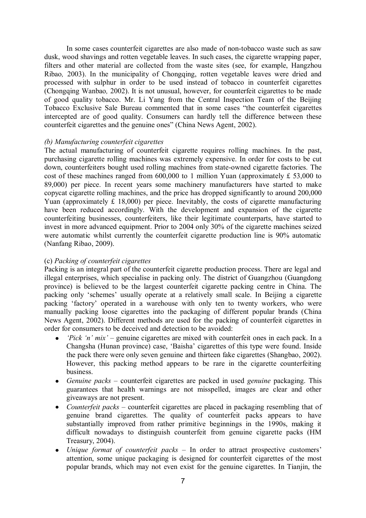In some cases counterfeit cigarettes are also made of non-tobacco waste such as saw dusk, wood shavings and rotten vegetable leaves. In such cases, the cigarette wrapping paper, filters and other material are collected from the waste sites (see, for example, Hangzhou Ribao*,* 2003). In the municipality of Chongqing, rotten vegetable leaves were dried and processed with sulphur in order to be used instead of tobacco in counterfeit cigarettes (Chongqing Wanbao*,* 2002). It is not unusual, however, for counterfeit cigarettes to be made of good quality tobacco. Mr. Li Yang from the Central Inspection Team of the Beijing Tobacco Exclusive Sale Bureau commented that in some cases "the counterfeit cigarettes intercepted are of good quality. Consumers can hardly tell the difference between these counterfeit cigarettes and the genuine ones" (China News Agent, 2002).

#### *(b) Manufacturing counterfeit cigarettes*

The actual manufacturing of counterfeit cigarette requires rolling machines. In the past, purchasing cigarette rolling machines was extremely expensive. In order for costs to be cut down, counterfeiters bought used rolling machines from state-owned cigarette factories. The cost of these machines ranged from  $600,000$  to 1 million Yuan (approximately £ 53,000 to 89,000) per piece. In recent years some machinery manufacturers have started to make copycat cigarette rolling machines, and the price has dropped significantly to around 200,000 Yuan (approximately  $\hat{L}$  18,000) per piece. Inevitably, the costs of cigarette manufacturing have been reduced accordingly. With the development and expansion of the cigarette counterfeiting businesses, counterfeiters, like their legitimate counterparts, have started to invest in more advanced equipment. Prior to 2004 only 30% of the cigarette machines seized were automatic whilst currently the counterfeit cigarette production line is 90% automatic (Nanfang Ribao, 2009).

## (c) *Packing of counterfeit cigarettes*

Packing is an integral part of the counterfeit cigarette production process. There are legal and illegal enterprises, which specialise in packing only. The district of Guangzhou (Guangdong province) is believed to be the largest counterfeit cigarette packing centre in China. The packing only 'schemes' usually operate at a relatively small scale. In Beijing a cigarette packing "factory" operated in a warehouse with only ten to twenty workers, who were manually packing loose cigarettes into the packaging of different popular brands (China News Agent, 2002). Different methods are used for the packing of counterfeit cigarettes in order for consumers to be deceived and detection to be avoided:

- *"Pick "n" mix"* genuine cigarettes are mixed with counterfeit ones in each pack. In a Changsha (Hunan province) case, "Baisha" cigarettes of this type were found. Inside the pack there were only seven genuine and thirteen fake cigarettes (Shangbao, 2002). However, this packing method appears to be rare in the cigarette counterfeiting business.
- *Genuine packs* counterfeit cigarettes are packed in used *genuine* packaging. This  $\bullet$ guarantees that health warnings are not misspelled, images are clear and other giveaways are not present.
- $\bullet$ *Counterfeit packs* – counterfeit cigarettes are placed in packaging resembling that of genuine brand cigarettes. The quality of counterfeit packs appears to have substantially improved from rather primitive beginnings in the 1990s, making it difficult nowadays to distinguish counterfeit from genuine cigarette packs (HM Treasury, 2004).
- *Unique format of counterfeit packs* In order to attract prospective customers'  $\bullet$ attention, some unique packaging is designed for counterfeit cigarettes of the most popular brands, which may not even exist for the genuine cigarettes. In Tianjin, the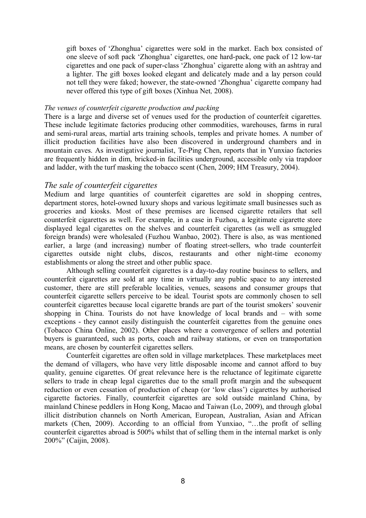gift boxes of "Zhonghua" cigarettes were sold in the market. Each box consisted of one sleeve of soft pack "Zhonghua" cigarettes, one hard-pack, one pack of 12 low-tar cigarettes and one pack of super-class "Zhonghua" cigarette along with an ashtray and a lighter. The gift boxes looked elegant and delicately made and a lay person could not tell they were faked; however, the state-owned "Zhonghua" cigarette company had never offered this type of gift boxes (Xinhua Net*,* 2008).

#### *The venues of counterfeit cigarette production and packing*

There is a large and diverse set of venues used for the production of counterfeit cigarettes. These include legitimate factories producing other commodities, warehouses, farms in rural and semi-rural areas, martial arts training schools, temples and private homes. A number of illicit production facilities have also been discovered in underground chambers and in mountain caves. As investigative journalist, Te-Ping Chen, reports that in Yunxiao factories are frequently hidden in dim, bricked-in facilities underground, accessible only via trapdoor and ladder, with the turf masking the tobacco scent (Chen, 2009; HM Treasury, 2004).

#### *The sale of counterfeit cigarettes*

Medium and large quantities of counterfeit cigarettes are sold in shopping centres, department stores, hotel-owned luxury shops and various legitimate small businesses such as groceries and kiosks. Most of these premises are licensed cigarette retailers that sell counterfeit cigarettes as well. For example, in a case in Fuzhou, a legitimate cigarette store displayed legal cigarettes on the shelves and counterfeit cigarettes (as well as smuggled foreign brands) were wholesaled (Fuzhou Wanbao, 2002). There is also, as was mentioned earlier, a large (and increasing) number of floating street-sellers, who trade counterfeit cigarettes outside night clubs, discos, restaurants and other night-time economy establishments or along the street and other public space.

Although selling counterfeit cigarettes is a day-to-day routine business to sellers, and counterfeit cigarettes are sold at any time in virtually any public space to any interested customer, there are still preferable localities, venues, seasons and consumer groups that counterfeit cigarette sellers perceive to be ideal. Tourist spots are commonly chosen to sell counterfeit cigarettes because local cigarette brands are part of the tourist smokers" souvenir shopping in China. Tourists do not have knowledge of local brands and – with some exceptions - they cannot easily distinguish the counterfeit cigarettes from the genuine ones (Tobacco China Online, 2002). Other places where a convergence of sellers and potential buyers is guaranteed, such as ports, coach and railway stations, or even on transportation means, are chosen by counterfeit cigarettes sellers.

Counterfeit cigarettes are often sold in village marketplaces. These marketplaces meet the demand of villagers, who have very little disposable income and cannot afford to buy quality, genuine cigarettes. Of great relevance here is the reluctance of legitimate cigarette sellers to trade in cheap legal cigarettes due to the small profit margin and the subsequent reduction or even cessation of production of cheap (or "low class") cigarettes by authorised cigarette factories. Finally, counterfeit cigarettes are sold outside mainland China, by mainland Chinese peddlers in Hong Kong, Macao and Taiwan (Lo, 2009), and through global illicit distribution channels on North American, European, Australian, Asian and African markets (Chen, 2009). According to an official from Yunxiao, "…the profit of selling counterfeit cigarettes abroad is 500% whilst that of selling them in the internal market is only 200%" (Caijin, 2008).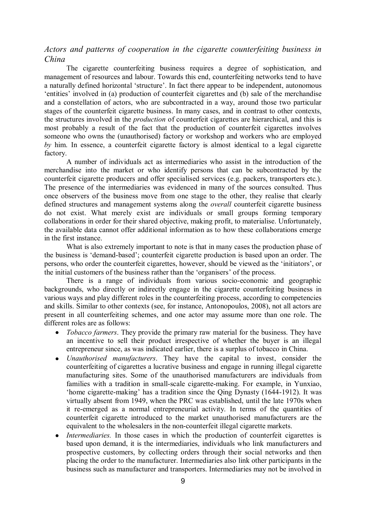# *Actors and patterns of cooperation in the cigarette counterfeiting business in China*

The cigarette counterfeiting business requires a degree of sophistication, and management of resources and labour. Towards this end, counterfeiting networks tend to have a naturally defined horizontal 'structure'. In fact there appear to be independent, autonomous "entities" involved in (a) production of counterfeit cigarettes and (b) sale of the merchandise and a constellation of actors, who are subcontracted in a way, around those two particular stages of the counterfeit cigarette business. In many cases, and in contrast to other contexts, the structures involved in the *production* of counterfeit cigarettes are hierarchical, and this is most probably a result of the fact that the production of counterfeit cigarettes involves someone who owns the (unauthorised) factory or workshop and workers who are employed *by* him. In essence, a counterfeit cigarette factory is almost identical to a legal cigarette factory.

A number of individuals act as intermediaries who assist in the introduction of the merchandise into the market or who identify persons that can be subcontracted by the counterfeit cigarette producers and offer specialised services (e.g. packers, transporters etc.). The presence of the intermediaries was evidenced in many of the sources consulted. Thus once observers of the business move from one stage to the other, they realise that clearly defined structures and management systems along the *overall* counterfeit cigarette business do not exist. What merely exist are individuals or small groups forming temporary collaborations in order for their shared objective, making profit, to materialise. Unfortunately, the available data cannot offer additional information as to how these collaborations emerge in the first instance.

What is also extremely important to note is that in many cases the production phase of the business is "demand-based"; counterfeit cigarette production is based upon an order. The persons, who order the counterfeit cigarettes, however, should be viewed as the "initiators", or the initial customers of the business rather than the "organisers" of the process.

There is a range of individuals from various socio-economic and geographic backgrounds, who directly or indirectly engage in the cigarette counterfeiting business in various ways and play different roles in the counterfeiting process, according to competencies and skills. Similar to other contexts (see, for instance, Antonopoulos, 2008), not all actors are present in all counterfeiting schemes, and one actor may assume more than one role. The different roles are as follows:

- *Tobacco farmers*. They provide the primary raw material for the business. They have an incentive to sell their product irrespective of whether the buyer is an illegal entrepreneur since, as was indicated earlier, there is a surplus of tobacco in China.
- *Unauthorised manufacturers*. They have the capital to invest, consider the  $\bullet$ counterfeiting of cigarettes a lucrative business and engage in running illegal cigarette manufacturing sites. Some of the unauthorised manufacturers are individuals from families with a tradition in small-scale cigarette-making. For example, in Yunxiao, "home cigarette-making" has a tradition since the Qing Dynasty (1644-1912). It was virtually absent from 1949, when the PRC was established, until the late 1970s when it re-emerged as a normal entrepreneurial activity. In terms of the quantities of counterfeit cigarette introduced to the market unauthorised manufacturers are the equivalent to the wholesalers in the non-counterfeit illegal cigarette markets.
- *Intermediaries.* In those cases in which the production of counterfeit cigarettes is  $\bullet$ based upon demand, it is the intermediaries, individuals who link manufacturers and prospective customers, by collecting orders through their social networks and then placing the order to the manufacturer. Intermediaries also link other participants in the business such as manufacturer and transporters. Intermediaries may not be involved in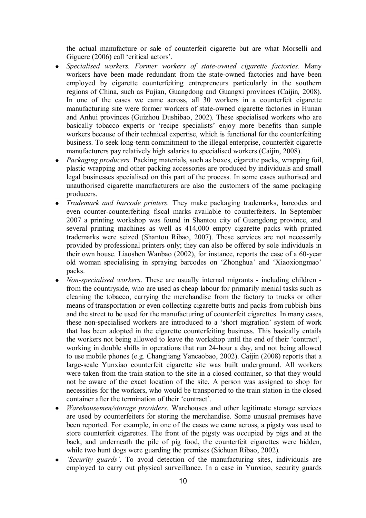the actual manufacture or sale of counterfeit cigarette but are what Morselli and Giguere (2006) call 'critical actors'.

- *Specialised workers. Former workers of state-owned cigarette factories*. Many  $\bullet$ workers have been made redundant from the state-owned factories and have been employed by cigarette counterfeiting entrepreneurs particularly in the southern regions of China, such as Fujian, Guangdong and Guangxi provinces (Caijin*,* 2008). In one of the cases we came across, all 30 workers in a counterfeit cigarette manufacturing site were former workers of state-owned cigarette factories in Hunan and Anhui provinces (Guizhou Dushibao, 2002). These specialised workers who are basically tobacco experts or "recipe specialists" enjoy more benefits than simple workers because of their technical expertise, which is functional for the counterfeiting business. To seek long-term commitment to the illegal enterprise, counterfeit cigarette manufacturers pay relatively high salaries to specialised workers (Caijin, 2008).
- *Packaging producers.* Packing materials, such as boxes, cigarette packs, wrapping foil,  $\bullet$ plastic wrapping and other packing accessories are produced by individuals and small legal businesses specialised on this part of the process. In some cases authorised and unauthorised cigarette manufacturers are also the customers of the same packaging producers.
- *Trademark and barcode printers.* They make packaging trademarks, barcodes and even counter-counterfeiting fiscal marks available to counterfeiters. In September 2007 a printing workshop was found in Shantou city of Guangdong province, and several printing machines as well as 414,000 empty cigarette packs with printed trademarks were seized (Shantou Ribao, 2007). These services are not necessarily provided by professional printers only; they can also be offered by sole individuals in their own house. Liaoshen Wanbao (2002), for instance, reports the case of a 60-year old woman specialising in spraying barcodes on "Zhonghua" and "Xiaoxiongmao" packs.
- *Non-specialised workers*. These are usually internal migrants including children from the countryside, who are used as cheap labour for primarily menial tasks such as cleaning the tobacco, carrying the merchandise from the factory to trucks or other means of transportation or even collecting cigarette butts and packs from rubbish bins and the street to be used for the manufacturing of counterfeit cigarettes. In many cases, these non-specialised workers are introduced to a "short migration" system of work that has been adopted in the cigarette counterfeiting business. This basically entails the workers not being allowed to leave the workshop until the end of their "contract", working in double shifts in operations that run 24-hour a day, and not being allowed to use mobile phones (e.g. Changjiang Yancaobao, 2002). Caijin (2008) reports that a large-scale Yunxiao counterfeit cigarette site was built underground. All workers were taken from the train station to the site in a closed container, so that they would not be aware of the exact location of the site. A person was assigned to shop for necessities for the workers, who would be transported to the train station in the closed container after the termination of their "contract".
- *Warehousemen/storage providers.* Warehouses and other legitimate storage services  $\bullet$ are used by counterfeiters for storing the merchandise. Some unusual premises have been reported. For example, in one of the cases we came across, a pigsty was used to store counterfeit cigarettes. The front of the pigsty was occupied by pigs and at the back, and underneath the pile of pig food, the counterfeit cigarettes were hidden, while two hunt dogs were guarding the premises (Sichuan Ribao, 2002)*.*
- *"Security guards"*. To avoid detection of the manufacturing sites, individuals are employed to carry out physical surveillance. In a case in Yunxiao, security guards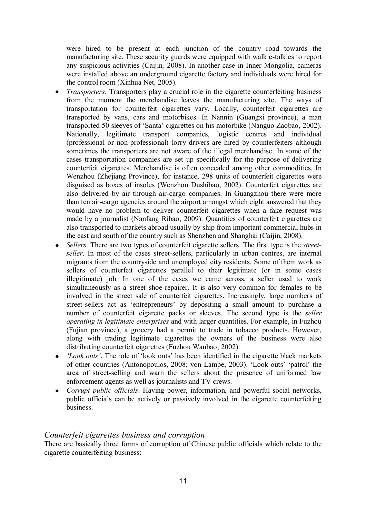were hired to be present at each junction of the country road towards the manufacturing site. These security guards were equipped with walkie-talkies to report any suspicious activities (Caijin*,* 2008). In another case in Inner Mongolia, cameras were installed above an underground cigarette factory and individuals were hired for the control room (Xinhua Net*,* 2005).

- *Transporters.* Transporters play a crucial role in the cigarette counterfeiting business  $\bullet$ from the moment the merchandise leaves the manufacturing site. The ways of transportation for counterfeit cigarettes vary. Locally, counterfeit cigarettes are transported by vans, cars and motorbikes. In Nannin (Guangxi province), a man transported 50 sleeves of "Santa" cigarettes on his motorbike (Nanguo Zaobao, 2002). Nationally, legitimate transport companies, logistic centres and individual (professional or non-professional) lorry drivers are hired by counterfeiters although sometimes the transporters are not aware of the illegal merchandise. In some of the cases transportation companies are set up specifically for the purpose of delivering counterfeit cigarettes. Merchandise is often concealed among other commodities. In Wenzhou (Zhejiang Province), for instance, 298 units of counterfeit cigarettes were disguised as boxes of insoles (Wenzhou Dushibao, 2002). Counterfeit cigarettes are also delivered by air through air-cargo companies. In Guangzhou there were more than ten air-cargo agencies around the airport amongst which eight answered that they would have no problem to deliver counterfeit cigarettes when a fake request was made by a journalist (Nanfang Ribao, 2009). Quantities of counterfeit cigarettes are also transported to markets abroad usually by ship from important commercial hubs in the east and south of the country such as Shenzhen and Shanghai (Caijin, 2008).
- *Sellers*. There are two types of counterfeit cigarette sellers. The first type is the *street-* $\bullet$ *seller*. In most of the cases street-sellers, particularly in urban centres, are internal migrants from the countryside and unemployed city residents. Some of them work as sellers of counterfeit cigarettes parallel to their legitimate (or in some cases illegitimate) job. In one of the cases we came across, a seller used to work simultaneously as a street shoe-repairer. It is also very common for females to be involved in the street sale of counterfeit cigarettes. Increasingly, large numbers of street-sellers act as "entrepreneurs" by depositing a small amount to purchase a number of counterfeit cigarette packs or sleeves. The second type is the *seller operating in legitimate enterprises* and with larger quantities. For example, in Fuzhou (Fujian province), a grocery had a permit to trade in tobacco products. However, along with trading legitimate cigarettes the owners of the business were also distributing counterfeit cigarettes (Fuzhou Wanbao, 2002).
- *"Look outs"*. The role of "look outs" has been identified in the cigarette black markets of other countries (Antonopoulos, 2008; von Lampe, 2003). "Look outs" "patrol" the area of street-selling and warn the sellers about the presence of uniformed law enforcement agents as well as journalists and TV crews.
- *Corrupt public officials*. Having power, information, and powerful social networks,  $\bullet$ public officials can be actively or passively involved in the cigarette counterfeiting business.

## *Counterfeit cigarettes business and corruption*

There are basically three forms of corruption of Chinese public officials which relate to the cigarette counterfeiting business: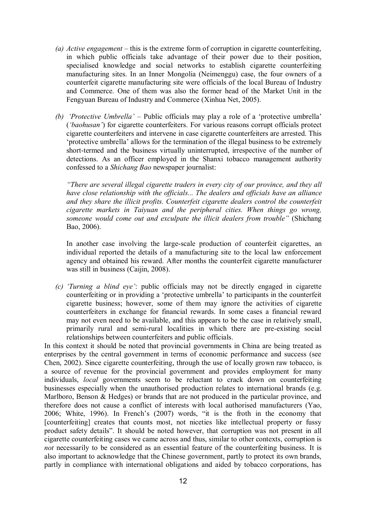- *(a) Active engagement* this is the extreme form of corruption in cigarette counterfeiting, in which public officials take advantage of their power due to their position, specialised knowledge and social networks to establish cigarette counterfeiting manufacturing sites. In an Inner Mongolia (Neimenggu) case, the four owners of a counterfeit cigarette manufacturing site were officials of the local Bureau of Industry and Commerce. One of them was also the former head of the Market Unit in the Fengyuan Bureau of Industry and Commerce (Xinhua Net, 2005).
- *(b) "Protective Umbrella" –* Public officials may play a role of a "protective umbrella" (*"baohusan"*) for cigarette counterfeiters. For various reasons corrupt officials protect cigarette counterfeiters and intervene in case cigarette counterfeiters are arrested. This "protective umbrella" allows for the termination of the illegal business to be extremely short-termed and the business virtually uninterrupted, irrespective of the number of detections. As an officer employed in the Shanxi tobacco management authority confessed to a *Shichang Bao* newspaper journalist:

*"There are several illegal cigarette traders in every city of our province, and they all have close relationship with the officials... The dealers and officials have an alliance and they share the illicit profits. Counterfeit cigarette dealers control the counterfeit cigarette markets in Taiyuan and the peripheral cities. When things go wrong, someone would come out and exculpate the illicit dealers from trouble"* (Shichang Bao, 2006).

In another case involving the large-scale production of counterfeit cigarettes, an individual reported the details of a manufacturing site to the local law enforcement agency and obtained his reward. After months the counterfeit cigarette manufacturer was still in business (Caijin, 2008).

*(c) "Turning a blind eye"*: public officials may not be directly engaged in cigarette counterfeiting or in providing a "protective umbrella" to participants in the counterfeit cigarette business; however, some of them may ignore the activities of cigarette counterfeiters in exchange for financial rewards. In some cases a financial reward may not even need to be available, and this appears to be the case in relatively small, primarily rural and semi-rural localities in which there are pre-existing social relationships between counterfeiters and public officials.

In this context it should be noted that provincial governments in China are being treated as enterprises by the central government in terms of economic performance and success (see Chen, 2002). Since cigarette counterfeiting, through the use of locally grown raw tobacco, is a source of revenue for the provincial government and provides employment for many individuals, *local* governments seem to be reluctant to crack down on counterfeiting businesses especially when the unauthorised production relates to international brands (e.g. Marlboro, Benson & Hedges) or brands that are not produced in the particular province, and therefore does not cause a conflict of interests with local authorised manufacturers (Yao, 2006; White, 1996). In French"s (2007) words, "it is the froth in the economy that [counterfeiting] creates that counts most, not niceties like intellectual property or fussy product safety details". It should be noted however, that corruption was not present in all cigarette counterfeiting cases we came across and thus, similar to other contexts, corruption is *not* necessarily to be considered as an essential feature of the counterfeiting business. It is also important to acknowledge that the Chinese government, partly to protect its own brands, partly in compliance with international obligations and aided by tobacco corporations, has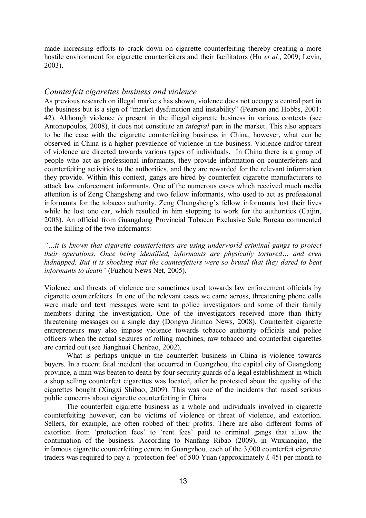made increasing efforts to crack down on cigarette counterfeiting thereby creating a more hostile environment for cigarette counterfeiters and their facilitators (Hu *et al.*, 2009; Levin, 2003).

## *Counterfeit cigarettes business and violence*

As previous research on illegal markets has shown, violence does not occupy a central part in the business but is a sign of "market dysfunction and instability" (Pearson and Hobbs, 2001: 42). Although violence *is* present in the illegal cigarette business in various contexts (see Antonopoulos, 2008), it does not constitute an *integral* part in the market. This also appears to be the case with the cigarette counterfeiting business in China; however, what can be observed in China is a higher prevalence of violence in the business. Violence and/or threat of violence are directed towards various types of individuals. In China there is a group of people who act as professional informants, they provide information on counterfeiters and counterfeiting activities to the authorities, and they are rewarded for the relevant information they provide. Within this context, gangs are hired by counterfeit cigarette manufacturers to attack law enforcement informants. One of the numerous cases which received much media attention is of Zeng Changsheng and two fellow informants, who used to act as professional informants for the tobacco authority. Zeng Changsheng's fellow informants lost their lives while he lost one ear, which resulted in him stopping to work for the authorities (Caijin, 2008). An official from Guangdong Provincial Tobacco Exclusive Sale Bureau commented on the killing of the two informants:

*"…it is known that cigarette counterfeiters are using underworld criminal gangs to protect their operations. Once being identified, informants are physically tortured… and even kidnapped. But it is shocking that the counterfeiters were so brutal that they dared to beat informants to death"* (Fuzhou News Net, 2005).

Violence and threats of violence are sometimes used towards law enforcement officials by cigarette counterfeiters. In one of the relevant cases we came across, threatening phone calls were made and text messages were sent to police investigators and some of their family members during the investigation. One of the investigators received more than thirty threatening messages on a single day (Dongya Jinmao News, 2008). Counterfeit cigarette entrepreneurs may also impose violence towards tobacco authority officials and police officers when the actual seizures of rolling machines, raw tobacco and counterfeit cigarettes are carried out (see Jianghuai Chenbao, 2002).

What is perhaps unique in the counterfeit business in China is violence towards buyers. In a recent fatal incident that occurred in Guangzhou, the capital city of Guangdong province, a man was beaten to death by four security guards of a legal establishment in which a shop selling counterfeit cigarettes was located, after he protested about the quality of the cigarettes bought (Xingxi Shibao, 2009). This was one of the incidents that raised serious public concerns about cigarette counterfeiting in China.

The counterfeit cigarette business as a whole and individuals involved in cigarette counterfeiting however, can be victims of violence or threat of violence, and extortion. Sellers, for example, are often robbed of their profits. There are also different forms of extortion from 'protection fees' to 'rent fees' paid to criminal gangs that allow the continuation of the business. According to Nanfang Ribao (2009), in Wuxianqiao, the infamous cigarette counterfeiting centre in Guangzhou, each of the 3,000 counterfeit cigarette traders was required to pay a 'protection fee' of 500 Yuan (approximately  $\pounds$  45) per month to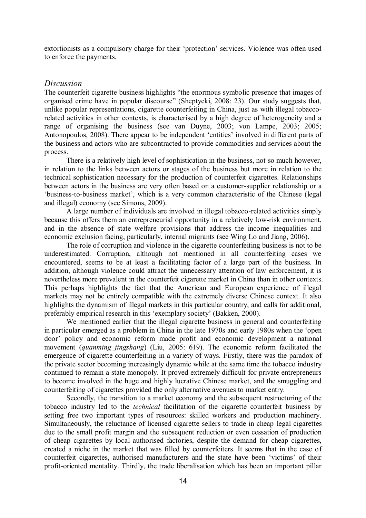extortionists as a compulsory charge for their "protection" services. Violence was often used to enforce the payments.

#### *Discussion*

The counterfeit cigarette business highlights "the enormous symbolic presence that images of organised crime have in popular discourse" (Sheptycki, 2008: 23). Our study suggests that, unlike popular representations, cigarette counterfeiting in China, just as with illegal tobaccorelated activities in other contexts, is characterised by a high degree of heterogeneity and a range of organising the business (see van Duyne, 2003; von Lampe, 2003; 2005; Antonopoulos, 2008). There appear to be independent "entities" involved in different parts of the business and actors who are subcontracted to provide commodities and services about the process.

There is a relatively high level of sophistication in the business, not so much however, in relation to the links between actors or stages of the business but more in relation to the technical sophistication necessary for the production of counterfeit cigarettes. Relationships between actors in the business are very often based on a customer-supplier relationship or a "business-to-business market", which is a very common characteristic of the Chinese (legal and illegal) economy (see Simons, 2009).

A large number of individuals are involved in illegal tobacco-related activities simply because this offers them an entrepreneurial opportunity in a relatively low-risk environment, and in the absence of state welfare provisions that address the income inequalities and economic exclusion facing, particularly, internal migrants (see Wing Lo and Jiang, 2006).

The role of corruption and violence in the cigarette counterfeiting business is not to be underestimated. Corruption, although not mentioned in all counterfeiting cases we encountered, seems to be at least a facilitating factor of a large part of the business. In addition, although violence could attract the unnecessary attention of law enforcement, it is nevertheless more prevalent in the counterfeit cigarette market in China than in other contexts. This perhaps highlights the fact that the American and European experience of illegal markets may not be entirely compatible with the extremely diverse Chinese context. It also highlights the dynamism of illegal markets in this particular country, and calls for additional, preferably empirical research in this "exemplary society" (Bakken, 2000).

We mentioned earlier that the illegal cigarette business in general and counterfeiting in particular emerged as a problem in China in the late 1970s and early 1980s when the "open door" policy and economic reform made profit and economic development a national movement (*quanming jingshang*) (Liu, 2005: 619). The economic reform facilitated the emergence of cigarette counterfeiting in a variety of ways. Firstly, there was the paradox of the private sector becoming increasingly dynamic while at the same time the tobacco industry continued to remain a state monopoly. It proved extremely difficult for private entrepreneurs to become involved in the huge and highly lucrative Chinese market, and the smuggling and counterfeiting of cigarettes provided the only alternative avenues to market entry.

Secondly, the transition to a market economy and the subsequent restructuring of the tobacco industry led to the *technical* facilitation of the cigarette counterfeit business by setting free two important types of resources: skilled workers and production machinery. Simultaneously, the reluctance of licensed cigarette sellers to trade in cheap legal cigarettes due to the small profit margin and the subsequent reduction or even cessation of production of cheap cigarettes by local authorised factories, despite the demand for cheap cigarettes, created a niche in the market that was filled by counterfeiters. It seems that in the case of counterfeit cigarettes, authorised manufacturers and the state have been "victims" of their profit-oriented mentality. Thirdly, the trade liberalisation which has been an important pillar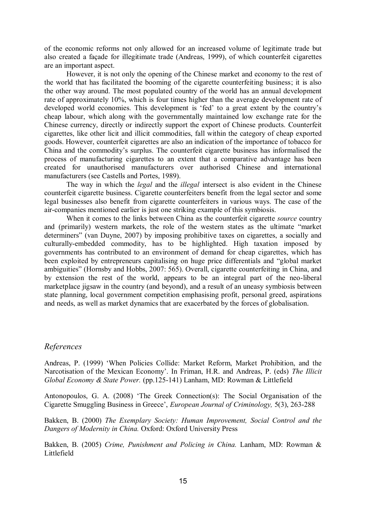of the economic reforms not only allowed for an increased volume of legitimate trade but also created a façade for illegitimate trade (Andreas, 1999), of which counterfeit cigarettes are an important aspect.

However, it is not only the opening of the Chinese market and economy to the rest of the world that has facilitated the booming of the cigarette counterfeiting business; it is also the other way around. The most populated country of the world has an annual development rate of approximately 10%, which is four times higher than the average development rate of developed world economies. This development is 'fed' to a great extent by the country's cheap labour, which along with the governmentally maintained low exchange rate for the Chinese currency, directly or indirectly support the export of Chinese products. Counterfeit cigarettes, like other licit and illicit commodities, fall within the category of cheap exported goods. However, counterfeit cigarettes are also an indication of the importance of tobacco for China and the commodity"s surplus. The counterfeit cigarette business has informalised the process of manufacturing cigarettes to an extent that a comparative advantage has been created for unauthorised manufacturers over authorised Chinese and international manufacturers (see Castells and Portes, 1989).

The way in which the *legal* and the *illegal* intersect is also evident in the Chinese counterfeit cigarette business. Cigarette counterfeiters benefit from the legal sector and some legal businesses also benefit from cigarette counterfeiters in various ways. The case of the air-companies mentioned earlier is just one striking example of this symbiosis.

When it comes to the links between China as the counterfeit cigarette *source* country and (primarily) western markets, the role of the western states as the ultimate "market determiners" (van Duyne, 2007) by imposing prohibitive taxes on cigarettes, a socially and culturally-embedded commodity, has to be highlighted. High taxation imposed by governments has contributed to an environment of demand for cheap cigarettes, which has been exploited by entrepreneurs capitalising on huge price differentials and "global market ambiguities" (Hornsby and Hobbs, 2007: 565). Overall, cigarette counterfeiting in China, and by extension the rest of the world, appears to be an integral part of the neo-liberal marketplace jigsaw in the country (and beyond), and a result of an uneasy symbiosis between state planning, local government competition emphasising profit, personal greed, aspirations and needs, as well as market dynamics that are exacerbated by the forces of globalisation.

## *References*

Andreas, P. (1999) "When Policies Collide: Market Reform, Market Prohibition, and the Narcotisation of the Mexican Economy". In Friman, H.R. and Andreas, P. (eds) *The Illicit Global Economy & State Power.* (pp.125-141) Lanham, MD: Rowman & Littlefield

Antonopoulos, G. A. (2008) "The Greek Connection(s): The Social Organisation of the Cigarette Smuggling Business in Greece", *European Journal of Criminology,* 5(3), 263-288

Bakken, B. (2000) *The Exemplary Society: Human Improvement, Social Control and the Dangers of Modernity in China.* Oxford: Oxford University Press

Bakken, B. (2005) *Crime, Punishment and Policing in China.* Lanham, MD: Rowman & Littlefield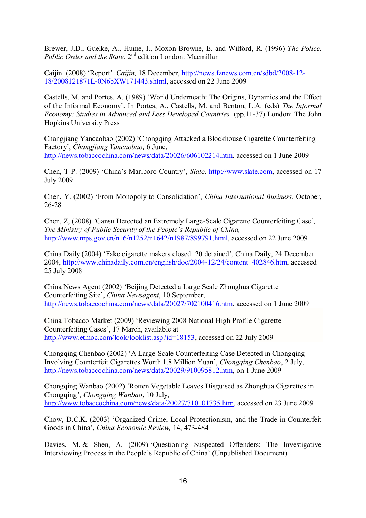Brewer, J.D., Guelke, A., Hume, I., Moxon-Browne, E. and Wilford, R. (1996) *The Police,*  Public Order and the State. 2<sup>nd</sup> edition London: Macmillan

Caijin (2008) "Report"*, Caijin,* 18 December, [http://news.fznews.com.cn/sdbd/2008-12-](http://news.fznews.com.cn/sdbd/2008-12-18/2008121871L-0N6bXW171443.shtml) [18/2008121871L-0N6bXW171443.shtml,](http://news.fznews.com.cn/sdbd/2008-12-18/2008121871L-0N6bXW171443.shtml) accessed on 22 June 2009

Castells, M. and Portes, A. (1989) "World Underneath: The Origins, Dynamics and the Effect of the Informal Economy". In Portes, A., Castells, M. and Benton, L.A. (eds) *The Informal Economy: Studies in Advanced and Less Developed Countries.* (pp.11-37) London: The John Hopkins University Press

Changjiang Yancaobao (2002) "Chongqing Attacked a Blockhouse Cigarette Counterfeiting Factory", *Changjiang Yancaobao,* 6 June, [http://news.tobaccochina.com/news/data/20026/606102214.htm,](http://news.tobaccochina.com/news/data/20026/606102214.htm) accessed on 1 June 2009

Chen, T-P. (2009) "China"s Marlboro Country", *Slate,* [http://www.slate.com,](http://www.slate.com/) accessed on 17 July 2009

Chen, Y. (2002) "From Monopoly to Consolidation", *China International Business*, October, 26-28

Chen, Z, (2008) *"*Gansu Detected an Extremely Large-Scale Cigarette Counterfeiting Case"*, The Ministry of Public Security of the People"s Republic of China,*  [http://www.mps.gov.cn/n16/n1252/n1642/n1987/899791.html,](http://www.mps.gov.cn/n16/n1252/n1642/n1987/899791.html) accessed on 22 June 2009

China Daily (2004) "Fake cigarette makers closed: 20 detained", China Daily, 24 December 2004, [http://www.chinadaily.com.cn/english/doc/2004-12/24/content\\_402846.htm,](http://www.chinadaily.com.cn/english/doc/2004-12/24/content_402846.htm) accessed 25 July 2008

China News Agent (2002) "Beijing Detected a Large Scale Zhonghua Cigarette Counterfeiting Site", *China Newsagent*, 10 September, [http://news.tobaccochina.com/news/data/20027/702100416.htm,](http://news.tobaccochina.com/news/data/20027/702100416.htm) accessed on 1 June 2009

China Tobacco Market (2009) "Reviewing 2008 National High Profile Cigarette Counterfeiting Cases", 17 March, available at [http://www.etmoc.com/look/looklist.asp?id=18153,](http://www.etmoc.com/look/looklist.asp?id=18153) accessed on 22 July 2009

Chongqing Chenbao (2002) "A Large-Scale Counterfeiting Case Detected in Chongqing Involving Counterfeit Cigarettes Worth 1.8 Million Yuan", *Chongqing Chenbao*, 2 July, [http://news.tobaccochina.com/news/data/20029/910095812.htm,](http://news.tobaccochina.com/news/data/20029/910095812.htm) on 1 June 2009

Chongqing Wanbao (2002) "Rotten Vegetable Leaves Disguised as Zhonghua Cigarettes in Chongqing", *Chongqing Wanbao*, 10 July, [http://www.tobaccochina.com/news/data/20027/710101735.htm,](http://www.tobaccochina.com/news/data/20027/710101735.htm) accessed on 23 June 2009

Chow, D.C.K. (2003) "Organized Crime, Local Protectionism, and the Trade in Counterfeit Goods in China", *China Economic Review,* 14, 473-484

Davies, M. & Shen, A. (2009) Ouestioning Suspected Offenders: The Investigative Interviewing Process in the People"s Republic of China" (Unpublished Document)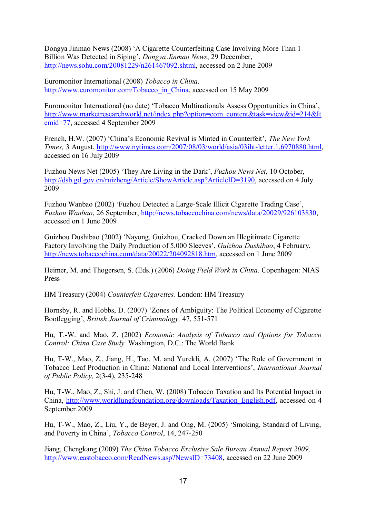Dongya Jinmao News (2008) "A Cigarette Counterfeiting Case Involving More Than 1 Billion Was Detected in Siping", *Dongya Jinmao News*, 29 December, [http://news.sohu.com/20081229/n261467092.shtml,](http://news.sohu.com/20081229/n261467092.shtml) accessed on 2 June 2009

Euromonitor International (2008) *Tobacco in China*. [http://www.euromonitor.com/Tobacco\\_in\\_China,](http://www.euromonitor.com/Tobacco_in_China) accessed on 15 May 2009

Euromonitor International (no date) "Tobacco Multinationals Assess Opportunities in China", [http://www.marketresearchworld.net/index.php?option=com\\_content&task=view&id=214&It](http://www.marketresearchworld.net/index.php?option=com_content&task=view&id=214&Itemid=77) [emid=77,](http://www.marketresearchworld.net/index.php?option=com_content&task=view&id=214&Itemid=77) accessed 4 September 2009

French, H.W. (2007) 'China's Economic Revival is Minted in Counterfeit', *The New York Times,* 3 August, [http://www.nytimes.com/2007/08/03/world/asia/03iht-letter.1.6970880.html,](http://www.nytimes.com/2007/08/03/world/asia/03iht-letter.1.6970880.html) accessed on 16 July 2009

Fuzhou News Net (2005) "They Are Living in the Dark", *Fuzhou News Net*, 10 October, [http://dsb.gd.gov.cn/ruizheng/Article/ShowArticle.asp?ArticleID=3190,](http://dsb.gd.gov.cn/ruizheng/Article/ShowArticle.asp?ArticleID=3190) accessed on 4 July 2009

Fuzhou Wanbao (2002) "Fuzhou Detected a Large-Scale Illicit Cigarette Trading Case", *Fuzhou Wanbao*, 26 September, [http://news.tobaccochina.com/news/data/20029/926103830,](http://news.tobaccochina.com/news/data/20029/926103830) accessed on 1 June 2009

Guizhou Dushibao (2002) "Nayong, Guizhou, Cracked Down an Illegitimate Cigarette Factory Involving the Daily Production of 5,000 Sleeves', *Guizhou Dushibao*, 4 February, [http://news.tobaccochina.com/data/20022/204092818.htm,](http://news.tobaccochina.com/data/20022/204092818.htm) accessed on 1 June 2009

Heimer, M. and Thogersen, S. (Eds.) (2006) *Doing Field Work in China*. Copenhagen: NIAS Press

HM Treasury (2004) *Counterfeit Cigarettes.* London: HM Treasury

Hornsby, R. and Hobbs, D. (2007) "Zones of Ambiguity: The Political Economy of Cigarette Bootlegging", *British Journal of Criminology,* 47, 551-571

Hu, T.-W. and Mao, Z. (2002) *Economic Analysis of Tobacco and Options for Tobacco Control: China Case Study.* Washington, D.C.: The World Bank

Hu, T-W., Mao, Z., Jiang, H., Tao, M. and Yurekli, A. (2007) "The Role of Government in Tobacco Leaf Production in China: National and Local Interventions", *International Journal of Public Policy,* 2(3-4), 235-248

Hu, T-W., Mao, Z., Shi, J. and Chen, W. (2008) Tobacco Taxation and Its Potential Impact in China, [http://www.worldlungfoundation.org/downloads/Taxation\\_English.pdf,](http://www.worldlungfoundation.org/downloads/Taxation_English.pdf) accessed on 4 September 2009

Hu, T-W., Mao, Z., Liu, Y., de Beyer, J. and Ong, M. (2005) "Smoking, Standard of Living, and Poverty in China", *Tobacco Control*, 14, 247-250

Jiang, Chengkang (2009) *The China Tobacco Exclusive Sale Bureau Annual Report 2009,* [http://www.eastobacco.com/ReadNews.asp?NewsID=73408,](http://www.eastobacco.com/ReadNews.asp?NewsID=73408) accessed on 22 June 2009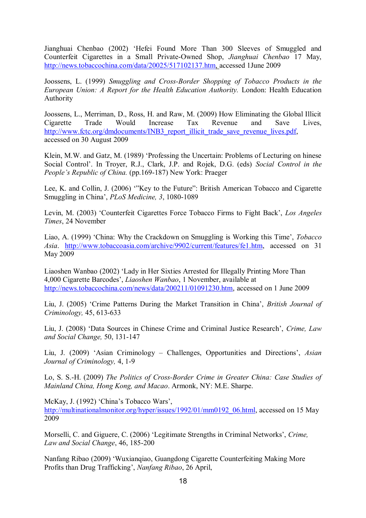Jianghuai Chenbao (2002) "Hefei Found More Than 300 Sleeves of Smuggled and Counterfeit Cigarettes in a Small Private-Owned Shop, *Jianghuai Chenbao* 17 May, [http://news.tobaccochina.com/data/20025/517102137.htm,](http://news.tobaccochina.com/data/20025/517102137.htm) accessed 1June 2009

Joossens, L. (1999) *Smuggling and Cross-Border Shopping of Tobacco Products in the European Union: A Report for the Health Education Authority.* London: Health Education Authority

Joossens, L., Merriman, D., Ross, H. and Raw, M. (2009) How Eliminating the Global Illicit Cigarette Trade Would Increase Tax Revenue and Save Lives, [http://www.fctc.org/dmdocuments/INB3\\_report\\_illicit\\_trade\\_save\\_revenue\\_lives.pdf,](http://www.fctc.org/dmdocuments/INB3_report_illicit_trade_save_revenue_lives.pdf) accessed on 30 August 2009

Klein, M.W. and Gatz, M. (1989) "Professing the Uncertain: Problems of Lecturing on hinese Social Control". In Troyer, R.J., Clark, J.P. and Rojek, D.G. (eds) *Social Control in the People's Republic of China.* (pp.169-187) New York: Praeger

Lee, K. and Collin, J. (2006) ""Key to the Future": British American Tobacco and Cigarette Smuggling in China", *PLoS Medicine, 3*, 1080-1089

Levin, M. (2003) "Counterfeit Cigarettes Force Tobacco Firms to Fight Back", *Los Angeles Times*, 24 November

Liao, A. (1999) "China: Why the Crackdown on Smuggling is Working this Time", *Tobacco Asia*. [http://www.tobaccoasia.com/archive/9902/current/features/fe1.htm,](http://www.tobaccoasia.com/archive/9902/current/features/fe1.htm) accessed on 31 May 2009

Liaoshen Wanbao (2002) "Lady in Her Sixties Arrested for Illegally Printing More Than 4,000 Cigarette Barcodes", *Liaoshen Wanbao*, 1 November, available at <http://news.tobaccochina.com/news/data/200211/01091230.htm>, accessed on 1 June 2009

Liu, J. (2005) "Crime Patterns During the Market Transition in China", *British Journal of Criminology,* 45, 613-633

Liu, J. (2008) "Data Sources in Chinese Crime and Criminal Justice Research", *Crime, Law and Social Change,* 50, 131-147

Liu, J. (2009) "Asian Criminology – Challenges, Opportunities and Directions", *Asian Journal of Criminology,* 4, 1-9

Lo, S. S.-H. (2009) *The Politics of Cross-Border Crime in Greater China: Case Studies of Mainland China, Hong Kong, and Macao*. Armonk, NY: M.E. Sharpe.

McKay, J. (1992) 'China's Tobacco Wars', [http://multinationalmonitor.org/hyper/issues/1992/01/mm0192\\_06.html,](http://multinationalmonitor.org/hyper/issues/1992/01/mm0192_06.html) accessed on 15 May 2009

Morselli, C. and Giguere, C. (2006) "Legitimate Strengths in Criminal Networks", *Crime, Law and Social Change*, 46, 185-200

Nanfang Ribao (2009) "Wuxianqiao, Guangdong Cigarette Counterfeiting Making More Profits than Drug Trafficking", *Nanfang Ribao*, 26 April,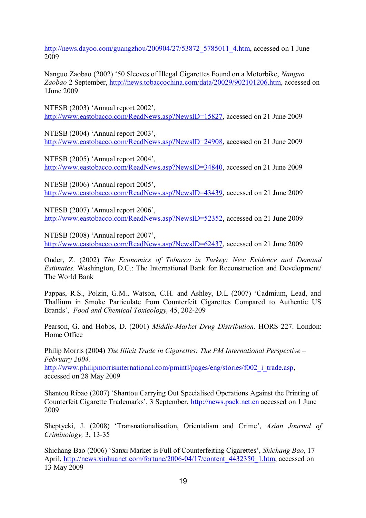[http://news.dayoo.com/guangzhou/200904/27/53872\\_5785011\\_4.htm,](http://news.dayoo.com/guangzhou/200904/27/53872_5785011_4.htm) accessed on 1 June 2009

Nanguo Zaobao (2002) "50 Sleeves of Illegal Cigarettes Found on a Motorbike, *Nanguo Zaobao* 2 September, [http://news.tobaccochina.com/data/20029/902101206.htm,](http://news.tobaccochina.com/data/20029/902101206.htm) accessed on 1June 2009

NTESB (2003) "Annual report 2002", [http://www.eastobacco.com/ReadNews.asp?NewsID=15827,](http://www.eastobacco.com/ReadNews.asp?NewsID=15827) accessed on 21 June 2009

NTESB (2004) "Annual report 2003", [http://www.eastobacco.com/ReadNews.asp?NewsID=24908,](http://www.eastobacco.com/ReadNews.asp?NewsID=24908) accessed on 21 June 2009

NTESB (2005) "Annual report 2004", [http://www.eastobacco.com/ReadNews.asp?NewsID=34840,](http://www.eastobacco.com/ReadNews.asp?NewsID=34840) accessed on 21 June 2009

NTESB (2006) 'Annual report 2005', <http://www.eastobacco.com/ReadNews.asp?NewsID=43439>, accessed on 21 June 2009

NTESB (2007) 'Annual report 2006', <http://www.eastobacco.com/ReadNews.asp?NewsID=52352>, accessed on 21 June 2009

NTESB (2008) 'Annual report 2007', <http://www.eastobacco.com/ReadNews.asp?NewsID=62437>, accessed on 21 June 2009

Onder, Z. (2002) *The Economics of Tobacco in Turkey: New Evidence and Demand Estimates.* Washington, D.C.: The International Bank for Reconstruction and Development/ The World Bank

Pappas, R.S., Polzin, G.M., Watson, C.H. and Ashley, D.L (2007) "Cadmium, Lead, and Thallium in Smoke Particulate from Counterfeit Cigarettes Compared to Authentic US Brands", *Food and Chemical Toxicology,* 45, 202-209

Pearson, G. and Hobbs, D. (2001) *Middle-Market Drug Distribution.* HORS 227. London: Home Office

Philip Morris (2004) *The Illicit Trade in Cigarettes: The PM International Perspective – February 2004.*  http://www.philipmorrisinternational.com/pmintl/pages/eng/stories/f002 i trade.asp, accessed on 28 May 2009

Shantou Ribao (2007) "Shantou Carrying Out Specialised Operations Against the Printing of Counterfeit Cigarette Trademarks", 3 September, [http://news.pack.net.cn](http://news.pack.net.cn/) accessed on 1 June 2009

Sheptycki, J. (2008) "Transnationalisation, Orientalism and Crime", *Asian Journal of Criminology,* 3, 13-35

Shichang Bao (2006) "Sanxi Market is Full of Counterfeiting Cigarettes", *Shichang Bao*, 17 April, [http://news.xinhuanet.com/fortune/2006-04/17/content\\_4432350\\_1.htm,](http://news.xinhuanet.com/fortune/2006-04/17/content_4432350_1.htm) accessed on 13 May 2009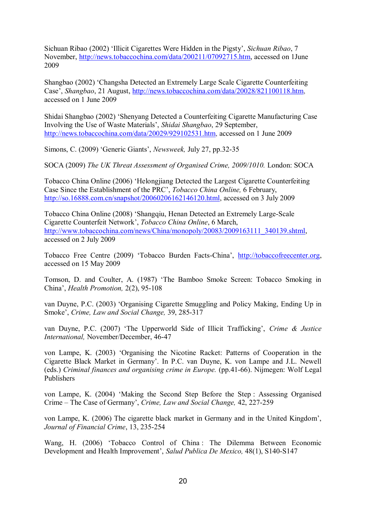Sichuan Ribao (2002) "Illicit Cigarettes Were Hidden in the Pigsty", *Sichuan Ribao*, 7 November, [http://news.tobaccochina.com/data/200211/07092715.htm,](http://news.tobaccochina.com/data/200211/07092715.htm) accessed on 1June 2009

Shangbao (2002) "Changsha Detected an Extremely Large Scale Cigarette Counterfeiting Case", *Shangbao*, 21 August, [http://news.tobaccochina.com/data/20028/821100118.htm,](http://news.tobaccochina.com/data/20028/821100118.htm) accessed on 1 June 2009

Shidai Shangbao (2002) "Shenyang Detected a Counterfeiting Cigarette Manufacturing Case Involving the Use of Waste Materials", *Shidai Shangbao*, 29 September, [http://news.tobaccochina.com/data/20029/929102531.htm,](http://news.tobaccochina.com/data/20029/929102531.htm) accessed on 1 June 2009

Simons, C. (2009) "Generic Giants", *Newsweek,* July 27, pp.32-35

SOCA (2009) *The UK Threat Assessment of Organised Crime, 2009/1010.* London: SOCA

Tobacco China Online (2006) "Helongjiang Detected the Largest Cigarette Counterfeiting Case Since the Establishment of the PRC", *Tobacco China Online,* 6 February, [http://so.16888.com.cn/snapshot/20060206162146120.html,](http://so.16888.com.cn/snapshot/20060206162146120.html) accessed on 3 July 2009

Tobacco China Online (2008) "Shangqiu, Henan Detected an Extremely Large-Scale Cigarette Counterfeit Network", *Tobacco China Online*, 6 March, [http://www.tobaccochina.com/news/China/monopoly/20083/2009163111\\_340139.shtml,](http://www.tobaccochina.com/news/China/monopoly/20083/2009163111_340139.shtml) accessed on 2 July 2009

Tobacco Free Centre (2009) "Tobacco Burden Facts-China", [http://tobaccofreecenter.org,](http://tobaccofreecenter.org/) accessed on 15 May 2009

Tomson, D. and Coulter, A. (1987) "The Bamboo Smoke Screen: Tobacco Smoking in China", *Health Promotion,* 2(2), 95-108

van Duyne, P.C. (2003) "Organising Cigarette Smuggling and Policy Making, Ending Up in Smoke", *Crime, Law and Social Change,* 39, 285-317

van Duyne, P.C. (2007) "The Upperworld Side of Illicit Trafficking", *Crime & Justice International,* November/December, 46-47

von Lampe, K. (2003) "Organising the Nicotine Racket: Patterns of Cooperation in the Cigarette Black Market in Germany". In P.C. van Duyne, K. von Lampe and J.L. Newell (eds.) *Criminal finances and organising crime in Europe.* (pp.41-66). Nijmegen: Wolf Legal Publishers

von Lampe, K. (2004) "Making the Second Step Before the Step : Assessing Organised Crime – The Case of Germany", *Crime, Law and Social Change,* 42, 227-259

von Lampe, K. (2006) The cigarette black market in Germany and in the United Kingdom", *Journal of Financial Crime*, 13, 235-254

Wang, H. (2006) "Tobacco Control of China : The Dilemma Between Economic Development and Health Improvement", *Salud Publica De Mexico,* 48(1), S140-S147